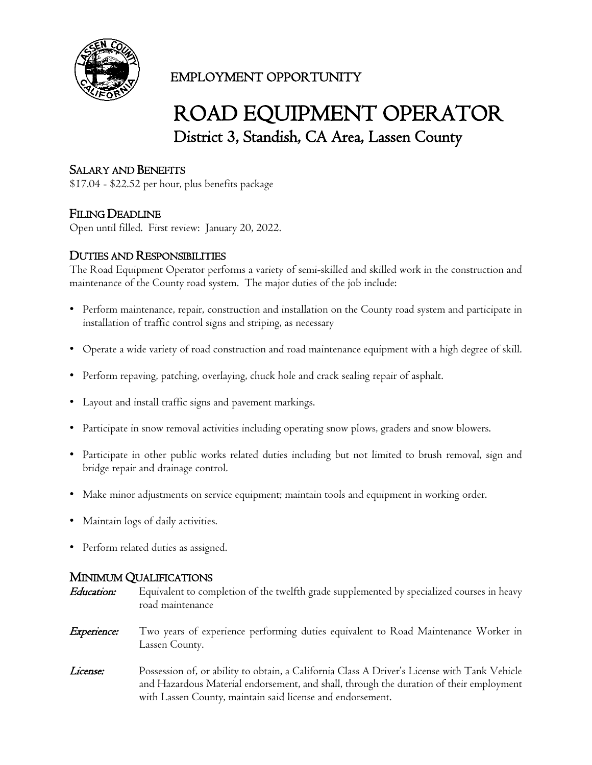

# EMPLOYMENT OPPORTUNITY

# ROAD EQUIPMENT OPERATOR District 3, Standish, CA Area, Lassen County

# SALARY AND BENEFITS

\$17.04 - \$22.52 per hour, plus benefits package

### FILING DEADLINE

Open until filled. First review: January 20, 2022.

#### DUTIES AND RESPONSIBILITIES

The Road Equipment Operator performs a variety of semi-skilled and skilled work in the construction and maintenance of the County road system. The major duties of the job include:

- Perform maintenance, repair, construction and installation on the County road system and participate in installation of traffic control signs and striping, as necessary
- Operate a wide variety of road construction and road maintenance equipment with a high degree of skill.
- Perform repaving, patching, overlaying, chuck hole and crack sealing repair of asphalt.
- Layout and install traffic signs and pavement markings.
- Participate in snow removal activities including operating snow plows, graders and snow blowers.
- Participate in other public works related duties including but not limited to brush removal, sign and bridge repair and drainage control.
- Make minor adjustments on service equipment; maintain tools and equipment in working order.
- Maintain logs of daily activities.
- Perform related duties as assigned.

#### MINIMUM QUALIFICATIONS